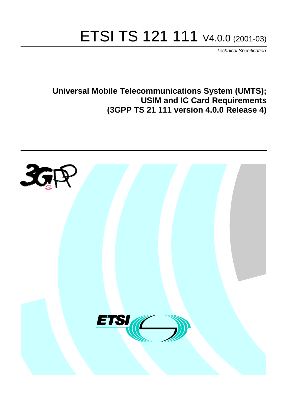# ETSI TS 121 111 V4.0.0 (2001-03)

Technical Specification

**Universal Mobile Telecommunications System (UMTS); USIM and IC Card Requirements (3GPP TS 21 111 version 4.0.0 Release 4)**

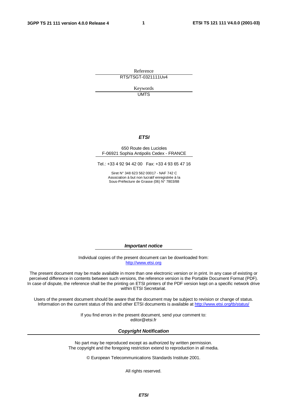**1**

Reference

RTS/TSGT-0321111Uv4

Keywords **UMTS** 

#### **ETSI**

#### 650 Route des Lucioles F-06921 Sophia Antipolis Cedex - FRANCE

Tel.: +33 4 92 94 42 00 Fax: +33 4 93 65 47 16

Siret N° 348 623 562 00017 - NAF 742 C Association à but non lucratif enregistrée à la Sous-Préfecture de Grasse (06) N° 7803/88

**Important notice**

Individual copies of the present document can be downloaded from: [http://www.etsi.org](http://www.etsi.org/)

The present document may be made available in more than one electronic version or in print. In any case of existing or perceived difference in contents between such versions, the reference version is the Portable Document Format (PDF). In case of dispute, the reference shall be the printing on ETSI printers of the PDF version kept on a specific network drive within ETSI Secretariat.

Users of the present document should be aware that the document may be subject to revision or change of status. Information on the current status of this and other ETSI documents is available at [http://www.etsi.org/tb/status/](http://www.etsi.org/tb/status)

> If you find errors in the present document, send your comment to: <editor@etsi.fr>

#### **Copyright Notification**

No part may be reproduced except as authorized by written permission. The copyright and the foregoing restriction extend to reproduction in all media.

© European Telecommunications Standards Institute 2001.

All rights reserved.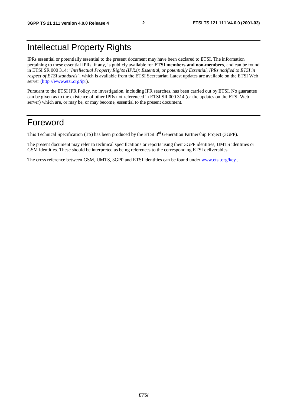### Intellectual Property Rights

IPRs essential or potentially essential to the present document may have been declared to ETSI. The information pertaining to these essential IPRs, if any, is publicly available for **ETSI members and non-members**, and can be found in ETSI SR 000 314: *"Intellectual Property Rights (IPRs); Essential, or potentially Essential, IPRs notified to ETSI in respect of ETSI standards"*, which is available from the ETSI Secretariat. Latest updates are available on the ETSI Web server [\(http://www.etsi.org/ipr](http://www.etsi.org/ipr)).

Pursuant to the ETSI IPR Policy, no investigation, including IPR searches, has been carried out by ETSI. No guarantee can be given as to the existence of other IPRs not referenced in ETSI SR 000 314 (or the updates on the ETSI Web server) which are, or may be, or may become, essential to the present document.

### Foreword

This Technical Specification (TS) has been produced by the ETSI 3<sup>rd</sup> Generation Partnership Project (3GPP).

The present document may refer to technical specifications or reports using their 3GPP identities, UMTS identities or GSM identities. These should be interpreted as being references to the corresponding ETSI deliverables.

The cross reference between GSM, UMTS, 3GPP and ETSI identities can be found under [www.etsi.org/key](http://www.etsi.org/key) .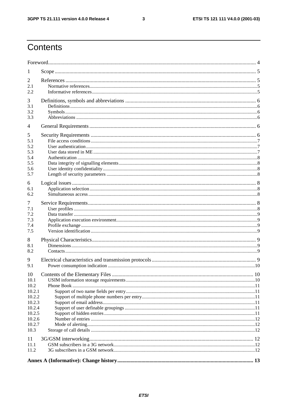### Contents

| 1                                                                                                |    |
|--------------------------------------------------------------------------------------------------|----|
| 2<br>2.1<br>2.2                                                                                  |    |
| 3<br>3.1<br>3.2<br>3.3                                                                           |    |
| $\overline{4}$                                                                                   |    |
| 5<br>5.1<br>5.2<br>5.3<br>5.4<br>5.5<br>5.6<br>5.7                                               |    |
| 6<br>6.1<br>6.2                                                                                  |    |
| 7<br>7.1<br>7.2<br>7.3<br>7.4<br>7.5                                                             |    |
| 8<br>8.1<br>8.2                                                                                  |    |
| 9<br>9.1                                                                                         |    |
| 10<br>10.1<br>10.2<br>10.2.1<br>10.2.2<br>10.2.3<br>10.2.4<br>10.2.5<br>10.2.6<br>10.2.7<br>10.3 | 10 |
| 11<br>11.1                                                                                       |    |
| 11.2                                                                                             |    |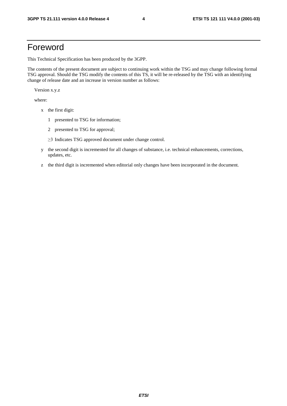### Foreword

This Technical Specification has been produced by the 3GPP.

The contents of the present document are subject to continuing work within the TSG and may change following formal TSG approval. Should the TSG modify the contents of this TS, it will be re-released by the TSG with an identifying change of release date and an increase in version number as follows:

Version x.y.z

where:

- x the first digit:
	- 1 presented to TSG for information;
	- 2 presented to TSG for approval;
	- ≥3 Indicates TSG approved document under change control.
- y the second digit is incremented for all changes of substance, i.e. technical enhancements, corrections, updates, etc.
- z the third digit is incremented when editorial only changes have been incorporated in the document.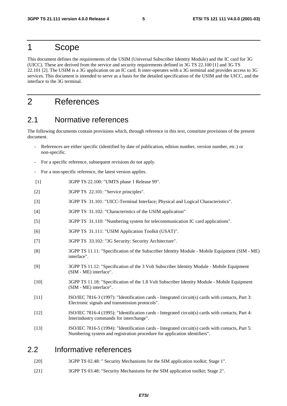#### 1 Scope

This document defines the requirements of the USIM (Universal Subscriber Identity Module) and the IC card for 3G (UICC). These are derived from the service and security requirements defined in 3G TS 22.100 [1] and 3G TS 22.101 [2]. The USIM is a 3G application on an IC card. It inter-operates with a 3G terminal and provides access to 3G services. This document is intended to serve as a basis for the detailed specification of the USIM and the UICC, and the interface to the 3G terminal.

### 2 References

#### 2.1 Normative references

The following documents contain provisions which, through reference in this text, constitute provisions of the present document.

- References are either specific (identified by date of publication, edition number, version number, etc.) or non-specific.
- For a specific reference, subsequent revisions do not apply.
- For a non-specific reference, the latest version applies.
- [1] 3GPP TS 22.100: "UMTS phase 1 Release 99".
- [2] 3GPP TS 22.101: "Service principles".
- [3] 3GPP TS 31.101: "UICC-Terminal Interface; Physical and Logical Characteristics".
- [4] 3GPP TS 31.102: "Characteristics of the USIM application"
- [5] 3GPP TS 31.110: "Numbering system for telecommunication IC card applications".
- [6] 3GPP TS 31.111: "USIM Application Toolkit (USAT)".
- [7] 3GPP TS 33.102: "3G Security: Security Architecture".
- [8] 3GPP TS 11.11: "Specification of the Subscriber Identity Module Mobile Equipment (SIM ME) interface".
- [9] 3GPP TS 11.12: "Specification of the 3 Volt Subscriber Identity Module Mobile Equipment (SIM - ME) interface".
- [10] 3GPP TS 11.18: "Specification of the 1.8 Volt Subscriber Identity Module Mobile Equipment (SIM - ME) interface".
- [11] ISO/IEC 7816-3 (1997): "Identification cards Integrated circuit(s) cards with contacts, Part 3: Electronic signals and transmission protocols".
- [12] ISO/IEC 7816-4 (1995): "Identification cards Integrated circuit(s) cards with contacts, Part 4: Interindustry commands for interchange".
- [13] ISO/IEC 7816-5 (1994): "Identification cards Integrated circuit(s) cards with contacts, Part 5: Numbering system and registration procedure for application identifiers".

#### 2.2 Informative references

- [20] 3GPP TS 02.48: " Security Mechanisms for the SIM application toolkit; Stage 1".
- [21] 3GPP TS 03.48: "Security Mechanisms for the SIM application toolkit; Stage 2".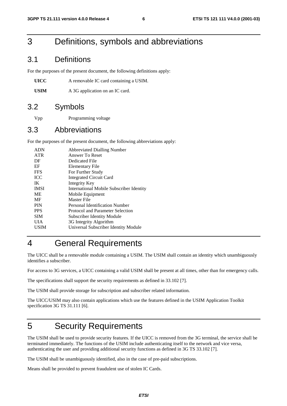### 3 Definitions, symbols and abbreviations

#### 3.1 Definitions

For the purposes of the present document, the following definitions apply:

**UICC** A removable IC card containing a USIM.

**USIM** A 3G application on an IC card.

#### 3.2 Symbols

Vpp Programming voltage

#### 3.3 Abbreviations

For the purposes of the present document, the following abbreviations apply:

| <b>ADN</b>  | <b>Abbreviated Dialling Number</b>              |
|-------------|-------------------------------------------------|
| <b>ATR</b>  | Answer To Reset                                 |
| DF          | Dedicated File                                  |
| EF          | Elementary File                                 |
| <b>FFS</b>  | For Further Study                               |
| <b>ICC</b>  | <b>Integrated Circuit Card</b>                  |
| IK          | Integrity Key                                   |
| <b>IMSI</b> | <b>International Mobile Subscriber Identity</b> |
| <b>ME</b>   | Mobile Equipment                                |
| MF          | Master File                                     |
| <b>PIN</b>  | Personal Identification Number                  |
| <b>PPS</b>  | Protocol and Parameter Selection                |
| <b>SIM</b>  | Subscriber Identity Module                      |
| UІА         | 3G Integrity Algorithm                          |
| USIM        | Universal Subscriber Identity Module            |
|             |                                                 |

### 4 General Requirements

The UICC shall be a removable module containing a USIM. The USIM shall contain an identity which unambiguously identifies a subscriber.

For access to 3G services, a UICC containing a valid USIM shall be present at all times, other than for emergency calls.

The specifications shall support the security requirements as defined in 33.102 [7].

The USIM shall provide storage for subscription and subscriber related information.

The UICC/USIM may also contain applications which use the features defined in the USIM Application Toolkit specification 3G TS 31.111 [6].

### 5 Security Requirements

The USIM shall be used to provide security features. If the UICC is removed from the 3G terminal, the service shall be terminated immediately. The functions of the USIM include authenticating itself to the network and vice versa, authenticating the user and providing additional security functions as defined in 3G TS 33.102 [7].

The USIM shall be unambiguously identified, also in the case of pre-paid subscriptions.

Means shall be provided to prevent fraudulent use of stolen IC Cards.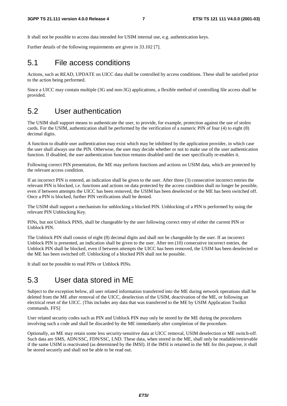It shall not be possible to access data intended for USIM internal use, e.g. authentication keys.

Further details of the following requirements are given in 33.102 [7].

#### 5.1 File access conditions

Actions, such as READ, UPDATE on UICC data shall be controlled by access conditions. These shall be satisfied prior to the action being performed.

Since a UICC may contain multiple (3G and non-3G) applications, a flexible method of controlling file access shall be provided.

#### 5.2 User authentication

The USIM shall support means to authenticate the user, to provide, for example, protection against the use of stolen cards. For the USIM, authentication shall be performed by the verification of a numeric PIN of four (4) to eight (8) decimal digits.

A function to disable user authentication may exist which may be inhibited by the application provider, in which case the user shall always use the PIN. Otherwise, the user may decide whether or not to make use of the user authentication function. If disabled, the user authentication function remains disabled until the user specifically re-enables it.

Following correct PIN presentation, the ME may perform functions and actions on USIM data, which are protected by the relevant access condition.

If an incorrect PIN is entered, an indication shall be given to the user. After three (3) consecutive incorrect entries the relevant PIN is blocked, i.e. functions and actions on data protected by the access condition shall no longer be possible, even if between attempts the UICC has been removed, the USIM has been deselected or the ME has been switched off. Once a PIN is blocked, further PIN verifications shall be denied.

The USIM shall support a mechanism for unblocking a blocked PIN. Unblocking of a PIN is performed by using the relevant PIN Unblocking Key.

PINs, but not Unblock PINS, shall be changeable by the user following correct entry of either the current PIN or Unblock PIN.

The Unblock PIN shall consist of eight (8) decimal digits and shall not be changeable by the user. If an incorrect Unblock PIN is presented, an indication shall be given to the user. After ten (10) consecutive incorrect entries, the Unblock PIN shall be blocked, even if between attempts the UICC has been removed, the USIM has been deselected or the ME has been switched off. Unblocking of a blocked PIN shall not be possible.

It shall not be possible to read PINs or Unblock PINs.

#### 5.3 User data stored in ME

Subject to the exception below, all user related information transferred into the ME during network operations shall be deleted from the ME after removal of the UICC, deselection of the USIM, deactivation of the ME, or following an electrical reset of the UICC. [This includes any data that was transferred to the ME by USIM Application Toolkit commands. FFS]

User related security codes such as PIN and Unblock PIN may only be stored by the ME during the procedures involving such a code and shall be discarded by the ME immediately after completion of the procedure.

Optionally, an ME may retain some less security-sensitive data at UICC removal, USIM deselection or ME switch-off. Such data are SMS, ADN/SSC, FDN/SSC, LND. These data, when stored in the ME, shall only be readable/retrievable if the same USIM is reactivated (as determined by the IMSI). If the IMSI is retained in the ME for this purpose, it shall be stored securely and shall not be able to be read out.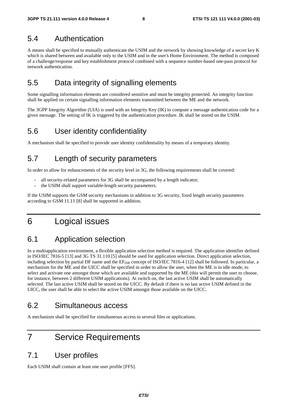#### 5.4 Authentication

A means shall be specified to mutually authenticate the USIM and the network by showing knowledge of a secret key K which is shared between and available only to the USIM and in the user's Home Environment. The method is composed of a challenge/response and key establishment protocol combined with a sequence number-based one-pass protocol for network authentication.

### 5.5 Data integrity of signalling elements

Some signalling information elements are considered sensitive and must be integrity protected. An integrity function shall be applied on certain signalling information elements transmitted between the ME and the network.

The 3GPP Integrity Algorithm (UIA) is used with an Integrity Key (IK) to compute a message authentication code for a given message. The setting of IK is triggered by the authentication procedure. IK shall be stored on the USIM.

### 5.6 User identity confidentiality

A mechanism shall be specified to provide user identity confidentiality by means of a temporary identity.

### 5.7 Length of security parameters

In order to allow for enhancements of the security level in 3G, the following requirements shall be covered:

- all security-related parameters for 3G shall be accompanied by a length indicator;
- the USIM shall support variable-length security parameters.

If the USIM supports the GSM security mechanisms in addition to 3G security, fixed length security parameters according to GSM 11.11 [8] shall be supported in addition.

### 6 Logical issues

### 6.1 Application selection

In a multiapplication environment, a flexible application selection method is required. The application identifier defined in ISO/IEC 7816-5 [13] and 3G TS 31.110 [5] should be used for application selection. Direct application selection, including selection by partial DF name and the  $EF_{\text{DIR}}$  concept of ISO/IEC 7816-4 [12] shall be followed. In particular, a mechanism for the ME and the UICC shall be specified in order to allow the user, when the ME is in idle mode, to select and activate one amongst those which are available and supported by the ME (this will permit the user to choose, for instance, between 2 different USIM applications). At switch on, the last active USIM shall be automatically selected. The last active USIM shall be stored on the UICC. By default if there is no last active USIM defined in the UICC, the user shall be able to select the active USIM amongst those available on the UICC.

### 6.2 Simultaneous access

A mechanism shall be specified for simultaneous access to several files or applications.

### 7 Service Requirements

#### 7.1 User profiles

Each USIM shall contain at least one user profile [FFS].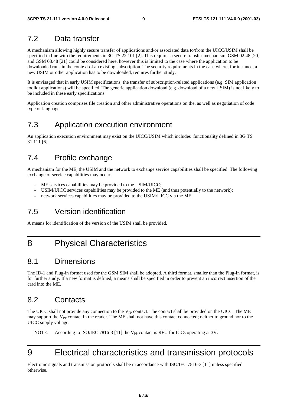#### 7.2 Data transfer

A mechanism allowing highly secure transfer of applications and/or associated data to/from the UICC/USIM shall be specified in line with the requirements in 3G TS 22.101 [2]. This requires a secure transfer mechanism. GSM 02.48 [20] and GSM 03.48 [21] could be considered here, however this is limited to the case where the application to be downloaded runs in the context of an existing subscription. The security requirements in the case where, for instance, a new USIM or other application has to be downloaded, requires further study.

It is envisaged that in early USIM specifications, the transfer of subscription-related applications (e.g. SIM application toolkit applications) will be specified. The generic application download (e.g. download of a new USIM) is not likely to be included in these early specifications.

Application creation comprises file creation and other administrative operations on the, as well as negotiation of code type or language.

### 7.3 Application execution environment

An application execution environment may exist on the UICC/USIM which includes functionality defined in 3G TS 31.111 [6].

#### 7.4 Profile exchange

A mechanism for the ME, the USIM and the network to exchange service capabilities shall be specified. The following exchange of service capabilities may occur:

- ME services capabilities may be provided to the USIM/UICC;
- USIM/UICC services capabilities may be provided to the ME (and thus potentially to the network);
- network services capabilities may be provided to the USIM/UICC via the ME.

### 7.5 Version identification

A means for identification of the version of the USIM shall be provided.

### 8 Physical Characteristics

#### 8.1 Dimensions

The ID-1 and Plug-in format used for the GSM SIM shall be adopted. A third format, smaller than the Plug-in format, is for further study. If a new format is defined, a means shall be specified in order to prevent an incorrect insertion of the card into the ME.

### 8.2 Contacts

The UICC shall not provide any connection to the V<sub>PP</sub> contact. The contact shall be provided on the UICC. The ME may support the  $V_{PP}$  contact in the reader. The ME shall not have this contact connected; neither to ground nor to the UICC supply voltage.

NOTE: According to ISO/IEC 7816-3 [11] the  $V_{PP}$  contact is RFU for ICCs operating at 3V.

# 9 Electrical characteristics and transmission protocols

Electronic signals and transmission protocols shall be in accordance with ISO/IEC 7816-3 [11] unless specified otherwise.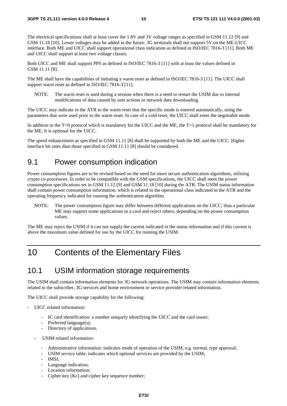The electrical specifications shall at least cover the 1.8V and 3V voltage ranges as specified in GSM 11.12 [9] and GSM 11.18 [10]. Lower voltages may be added in the future. 3G terminals shall not support 5V on the ME-UICC interface. Both ME and UICC shall support operational class indication as defined in ISO/IEC 7816-3 [11]. Both ME and UICC shall support at least two voltage classes.

Both UICC and ME shall support PPS as defined in ISO/IEC 7816-3 [11] with at least the values defined in GSM 11.11 [8].

The ME shall have the capabilities of initiating a warm reset as defined in ISO/IEC 7816-3 [11]. The UICC shall support warm reset as defined in ISO/IEC 7816-3 [11].

NOTE: The warm reset is used during a session when there is a need to restart the USIM due to internal modifications of data caused by user actions or network data downloading.

The UICC may indicate in the ATR to the warm reset that the specific mode is entered automatically, using the parameters that were used prior to the warm reset. In case of a cold reset, the UICC shall enter the negotiable mode.

In addition to the T=0 protocol which is mandatory for the UICC and the ME, the T=1 protocol shall be mandatory for the ME. It is optional for the UICC.

The speed enhancement as specified in GSM 11.11 [8] shall be supported by both the ME and the UICC. Higher interface bit rates than those specified in GSM 11.11 [8] should be considered.

#### 9.1 Power consumption indication

Power consumption figures are to be revised based on the need for more secure authentication algorithms, utilising crypto co-processors. In order to be compatible with the GSM specifications, the UICC shall meet the power consumption specifications set in GSM 11.12 [9] and GSM 11.18 [10] during the ATR. The USIM status information shall contain power consumption information, which is related to the operational class indicated in the ATR and the operating frequency indicated for running the authentication algorithm.

NOTE: The power consumption figure may differ between different applications on the UICC; thus a particular ME may support some applications in a card and reject others, depending on the power consumption values.

The ME may reject the USIM if it can not supply the current indicated in the status information and if this current is above the maximum value defined for use by the UICC for running the USIM.

### 10 Contents of the Elementary Files

#### 10.1 USIM information storage requirements

The USIM shall contain information elements for 3G network operations. The USIM may contain information elements related to the subscriber, 3G services and home environment or service provider related information.

The UICC shall provide storage capability for the following:

- UICC related information:
	- IC card identification: a number uniquely identifying the UICC and the card issuer;
	- Preferred language(s);
	- Directory of applications.
	- USIM related information:
		- Administrative information: indicates mode of operation of the USIM, e.g. normal, type approval;
		- USIM service table: indicates which optional services are provided by the USIM;
		- IMSI:
		- Language indication;
		- Location information:
		- Cipher key (Kc) and cipher key sequence number;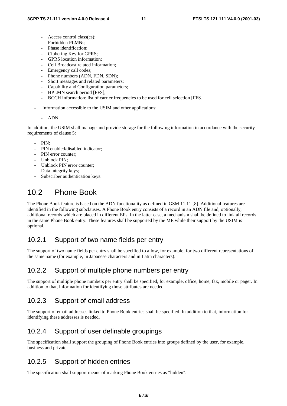- Access control class(es);
- Forbidden PLMNs;
- Phase identification:
- Ciphering Key for GPRS;
- GPRS location information;
- Cell Broadcast related information;
- Emergency call codes;
- Phone numbers (ADN, FDN, SDN);
- Short messages and related parameters;
- Capability and Configuration parameters;
- HPLMN search period [FFS];
- BCCH information: list of carrier frequencies to be used for cell selection [FFS].
- Information accessible to the USIM and other applications:
	- ADN.

In addition, the USIM shall manage and provide storage for the following information in accordance with the security requirements of clause 5:

- $PIN<sub>1</sub>$
- PIN enabled/disabled indicator;
- PIN error counter:
- Unblock PIN:
- Unblock PIN error counter:
- Data integrity keys;
- Subscriber authentication keys.

### 10.2 Phone Book

The Phone Book feature is based on the ADN functionality as defined in GSM 11.11 [8]. Additional features are identified in the following subclauses. A Phone Book entry consists of a record in an ADN file and, optionally, additional records which are placed in different EFs. In the latter case, a mechanism shall be defined to link all records in the same Phone Book entry. These features shall be supported by the ME while their support by the USIM is optional.

#### 10.2.1 Support of two name fields per entry

The support of two name fields per entry shall be specified to allow, for example, for two different representations of the same name (for example, in Japanese characters and in Latin characters).

#### 10.2.2 Support of multiple phone numbers per entry

The support of multiple phone numbers per entry shall be specified, for example, office, home, fax, mobile or pager. In addition to that, information for identifying those attributes are needed.

#### 10.2.3 Support of email address

The support of email addresses linked to Phone Book entries shall be specified. In addition to that, information for identifying these addresses is needed.

#### 10.2.4 Support of user definable groupings

The specification shall support the grouping of Phone Book entries into groups defined by the user, for example, business and private.

#### 10.2.5 Support of hidden entries

The specification shall support means of marking Phone Book entries as "hidden".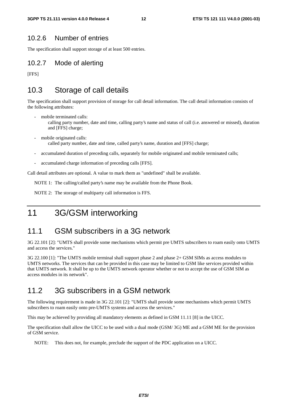#### 10.2.6 Number of entries

The specification shall support storage of at least 500 entries.

#### 10.2.7 Mode of alerting

[FFS]

### 10.3 Storage of call details

The specification shall support provision of storage for call detail information. The call detail information consists of the following attributes:

- mobile terminated calls: calling party number, date and time, calling party's name and status of call (i.e. answered or missed), duration and [FFS] charge;
- mobile originated calls: called party number, date and time, called party's name, duration and [FFS] charge;
- accumulated duration of preceding calls, separately for mobile originated and mobile terminated calls;
- accumulated charge information of preceding calls [FFS].

Call detail attributes are optional. A value to mark them as "undefined" shall be available.

NOTE 1: The calling/called party's name may be available from the Phone Book.

NOTE 2: The storage of multiparty call information is FFS.

### 11 3G/GSM interworking

#### 11.1 GSM subscribers in a 3G network

3G 22.101 [2]: "UMTS shall provide some mechanisms which permit pre UMTS subscribers to roam easily onto UMTS and access the services."

3G 22.100 [1]: "The UMTS mobile terminal shall support phase 2 and phase 2+ GSM SIMs as access modules to UMTS networks. The services that can be provided in this case may be limited to GSM like services provided within that UMTS network. It shall be up to the UMTS network operator whether or not to accept the use of GSM SIM as access modules in its network".

### 11.2 3G subscribers in a GSM network

The following requirement is made in 3G 22.101 [2]: "UMTS shall provide some mechanisms which permit UMTS subscribers to roam easily onto pre-UMTS systems and access the services."

This may be achieved by providing all mandatory elements as defined in GSM 11.11 [8] in the UICC.

The specification shall allow the UICC to be used with a dual mode (GSM/ 3G) ME and a GSM ME for the provision of GSM service.

NOTE: This does not, for example, preclude the support of the PDC application on a UICC.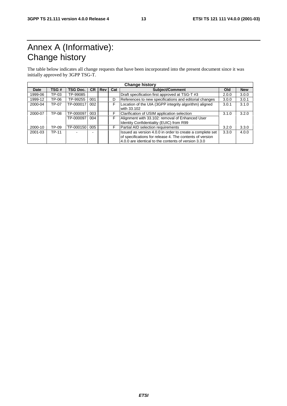# Annex A (Informative): Change history

The table below indicates all change requests that have been incorporated into the present document since it was initially approved by 3GPP TSG-T.

| <b>Change history</b> |       |                 |           |     |     |                                                                                                                                                                               |       |            |
|-----------------------|-------|-----------------|-----------|-----|-----|-------------------------------------------------------------------------------------------------------------------------------------------------------------------------------|-------|------------|
| Date                  | TSG#  | <b>TSG Doc.</b> | <b>CR</b> | Rev | Cat | <b>Subject/Comment</b>                                                                                                                                                        | Old   | <b>New</b> |
| 1999-06               | TP-03 | TP-99085        |           |     |     | Draft specification first approved at TSG-T #3                                                                                                                                | 2.0.0 | 3.0.0      |
| 1999-12               | TP-06 | TP-99255        | 001       |     | D   | References to new specifications and editorial changes                                                                                                                        | 3.0.0 | 3.0.1      |
| 2000-04               | TP-07 | TP-000017       | 002       |     | F   | Location of the UIA (3GPP integrity algorithm) aligned<br>with 33.102                                                                                                         | 3.0.1 | 3.1.0      |
| 2000-07               | TP-08 | TP-000097       | 003       |     | F   | Clarification of USIM application selection                                                                                                                                   | 3.1.0 | 3.2.0      |
|                       |       | TP-000097       | 004       |     |     | Alignment with 33.102: removal of Enhanced User<br>Identity Confidentiality (EUIC) from R99                                                                                   |       |            |
| 2000-10               | TP-09 | TP-000150       | 005       |     | F   | Partial AID selection requirements                                                                                                                                            | 3.2.0 | 3.3.0      |
| 2001-03               | TP-11 |                 |           |     |     | Issued as version 4.0.0 in order to create a complete set<br>of specifications for release 4. The contents of version<br>4.0.0 are identical to the contents of version 3.3.0 | 3.3.0 | 4.0.0      |